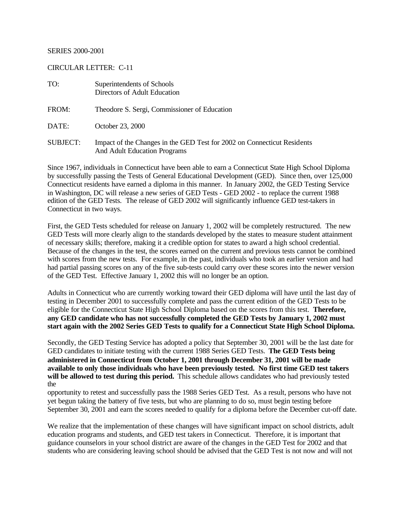## SERIES 2000-2001

## CIRCULAR LETTER: C-11

| TO:             | Superintendents of Schools<br>Directors of Adult Education                                              |
|-----------------|---------------------------------------------------------------------------------------------------------|
| FROM:           | Theodore S. Sergi, Commissioner of Education                                                            |
| DATE:           | October 23, 2000                                                                                        |
| <b>SUBJECT:</b> | Impact of the Changes in the GED Test for 2002 on Connecticut Residents<br>And Adult Education Programs |

Since 1967, individuals in Connecticut have been able to earn a Connecticut State High School Diploma by successfully passing the Tests of General Educational Development (GED). Since then, over 125,000 Connecticut residents have earned a diploma in this manner. In January 2002, the GED Testing Service in Washington, DC will release a new series of GED Tests - GED 2002 - to replace the current 1988 edition of the GED Tests. The release of GED 2002 will significantly influence GED test-takers in Connecticut in two ways.

First, the GED Tests scheduled for release on January 1, 2002 will be completely restructured. The new GED Tests will more clearly align to the standards developed by the states to measure student attainment of necessary skills; therefore, making it a credible option for states to award a high school credential. Because of the changes in the test, the scores earned on the current and previous tests cannot be combined with scores from the new tests. For example, in the past, individuals who took an earlier version and had had partial passing scores on any of the five sub-tests could carry over these scores into the newer version of the GED Test. Effective January 1, 2002 this will no longer be an option.

Adults in Connecticut who are currently working toward their GED diploma will have until the last day of testing in December 2001 to successfully complete and pass the current edition of the GED Tests to be eligible for the Connecticut State High School Diploma based on the scores from this test. **Therefore, any GED candidate who has not successfully completed the GED Tests by January 1, 2002 must start again with the 2002 Series GED Tests to qualify for a Connecticut State High School Diploma.** 

Secondly, the GED Testing Service has adopted a policy that September 30, 2001 will be the last date for GED candidates to initiate testing with the current 1988 Series GED Tests. **The GED Tests being administered in Connecticut from October 1, 2001 through December 31, 2001 will be made available to only those individuals who have been previously tested. No first time GED test takers will be allowed to test during this period.** This schedule allows candidates who had previously tested the

opportunity to retest and successfully pass the 1988 Series GED Test. As a result, persons who have not yet begun taking the battery of five tests, but who are planning to do so, must begin testing before September 30, 2001 and earn the scores needed to qualify for a diploma before the December cut-off date.

We realize that the implementation of these changes will have significant impact on school districts, adult education programs and students, and GED test takers in Connecticut. Therefore, it is important that guidance counselors in your school district are aware of the changes in the GED Test for 2002 and that students who are considering leaving school should be advised that the GED Test is not now and will not